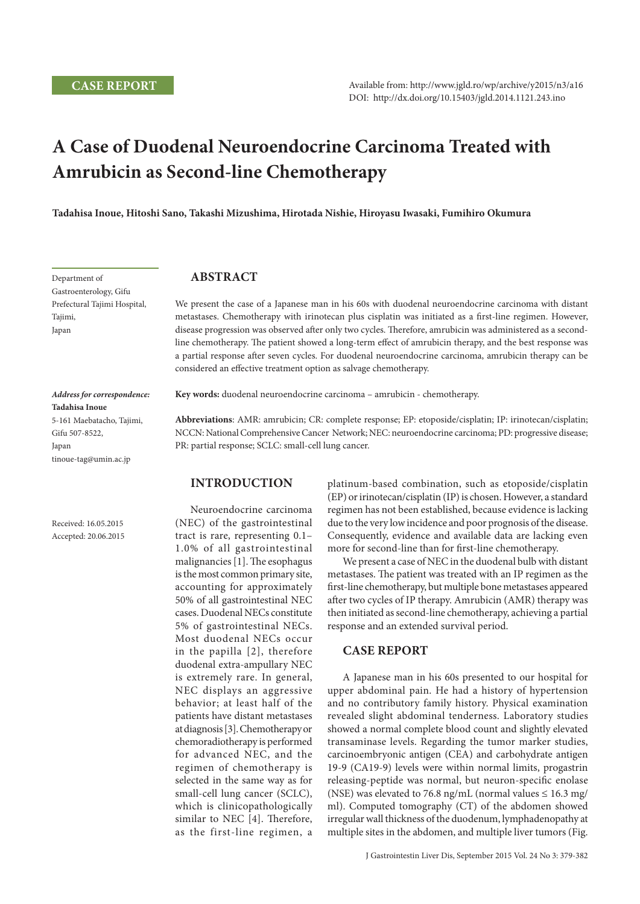# **A Case of Duodenal Neuroendocrine Carcinoma Treated with Amrubicin as Second-line Chemotherapy**

**Tadahisa Inoue, Hitoshi Sano, Takashi Mizushima, Hirotada Nishie, Hiroyasu Iwasaki, Fumihiro Okumura**

Department of Gastroenterology, Gifu Prefectural Tajimi Hospital, Tajimi, Japan

*Address for correspondence:* 

5-161 Maebatacho, Tajimi,

tinoue-tag@umin.ac.jp

Received: 16.05.2015 Accepted: 20.06.2015

**Tadahisa Inoue**

Gifu 507-8522, Japan

## **Abstract**

We present the case of a Japanese man in his 60s with duodenal neuroendocrine carcinoma with distant metastases. Chemotherapy with irinotecan plus cisplatin was initiated as a first-line regimen. However, disease progression was observed after only two cycles. Therefore, amrubicin was administered as a secondline chemotherapy. The patient showed a long-term effect of amrubicin therapy, and the best response was a partial response after seven cycles. For duodenal neuroendocrine carcinoma, amrubicin therapy can be considered an effective treatment option as salvage chemotherapy.

**Key words:** duodenal neuroendocrine carcinoma – amrubicin - chemotherapy.

**Abbreviations**: AMR: amrubicin; CR: complete response; EP: etoposide/cisplatin; IP: irinotecan/cisplatin; NCCN: National Comprehensive Cancer Network; NEC: neuroendocrine carcinoma; PD: progressive disease; PR: partial response; SCLC: small-cell lung cancer.

## **Introduction**

Neuroendocrine carcinoma (NEC) of the gastrointestinal tract is rare, representing 0.1– 1.0% of all gastrointestinal malignancies [1]. The esophagus is the most common primary site, accounting for approximately 50% of all gastrointestinal NEC cases. Duodenal NECs constitute 5% of gastrointestinal NECs. Most duodenal NECs occur in the papilla [2], therefore duodenal extra-ampullary NEC is extremely rare. In general, NEC displays an aggressive behavior; at least half of the patients have distant metastases at diagnosis [3]. Chemotherapy or chemoradiotherapy is performed for advanced NEC, and the regimen of chemotherapy is selected in the same way as for small-cell lung cancer (SCLC), which is clinicopathologically similar to NEC [4]. Therefore, as the first-line regimen, a

platinum-based combination, such as etoposide/cisplatin (EP) or irinotecan/cisplatin (IP) is chosen. However, a standard regimen has not been established, because evidence is lacking due to the very low incidence and poor prognosis of the disease. Consequently, evidence and available data are lacking even more for second-line than for first-line chemotherapy.

We present a case of NEC in the duodenal bulb with distant metastases. The patient was treated with an IP regimen as the first-line chemotherapy, but multiple bone metastases appeared after two cycles of IP therapy. Amrubicin (AMR) therapy was then initiated as second-line chemotherapy, achieving a partial response and an extended survival period.

## **CASE REPORT**

A Japanese man in his 60s presented to our hospital for upper abdominal pain. He had a history of hypertension and no contributory family history. Physical examination revealed slight abdominal tenderness. Laboratory studies showed a normal complete blood count and slightly elevated transaminase levels. Regarding the tumor marker studies, carcinoembryonic antigen (CEA) and carbohydrate antigen 19-9 (CA19-9) levels were within normal limits, progastrin releasing-peptide was normal, but neuron-specific enolase (NSE) was elevated to 76.8 ng/mL (normal values  $\leq 16.3$  mg/ ml). Computed tomography (CT) of the abdomen showed irregular wall thickness of the duodenum, lymphadenopathy at multiple sites in the abdomen, and multiple liver tumors (Fig.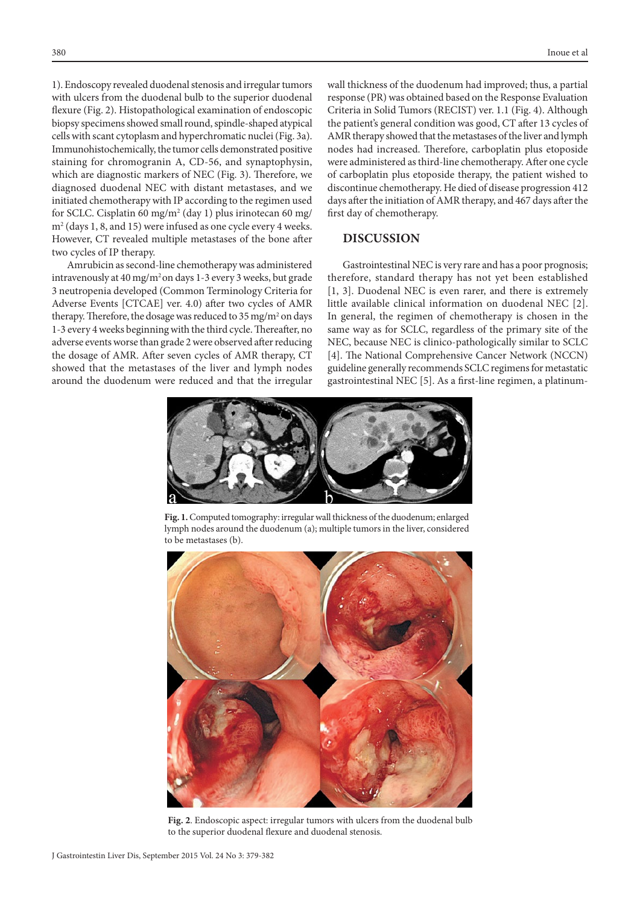1). Endoscopy revealed duodenal stenosis and irregular tumors with ulcers from the duodenal bulb to the superior duodenal flexure (Fig. 2). Histopathological examination of endoscopic biopsy specimens showed small round, spindle-shaped atypical cells with scant cytoplasm and hyperchromatic nuclei (Fig. 3a). Immunohistochemically, the tumor cells demonstrated positive staining for chromogranin A, CD-56, and synaptophysin, which are diagnostic markers of NEC (Fig. 3). Therefore, we diagnosed duodenal NEC with distant metastases, and we initiated chemotherapy with IP according to the regimen used for SCLC. Cisplatin 60 mg/m<sup>2</sup> (day 1) plus irinotecan 60 mg/ m2 (days 1, 8, and 15) were infused as one cycle every 4 weeks. However, CT revealed multiple metastases of the bone after two cycles of IP therapy.

Amrubicin as second-line chemotherapy was administered intravenously at 40 mg/m<sup>2</sup> on days 1-3 every 3 weeks, but grade 3 neutropenia developed (Common Terminology Criteria for Adverse Events [CTCAE] ver. 4.0) after two cycles of AMR therapy. Therefore, the dosage was reduced to  $35 \,\mathrm{mg/m^2}$  on days 1-3 every 4 weeks beginning with the third cycle. Thereafter, no adverse events worse than grade 2 were observed after reducing the dosage of AMR. After seven cycles of AMR therapy, CT showed that the metastases of the liver and lymph nodes around the duodenum were reduced and that the irregular

wall thickness of the duodenum had improved; thus, a partial response (PR) was obtained based on the Response Evaluation Criteria in Solid Tumors (RECIST) ver. 1.1 (Fig. 4). Although the patient's general condition was good, CT after 13 cycles of AMR therapy showed that the metastases of the liver and lymph nodes had increased. Therefore, carboplatin plus etoposide were administered as third-line chemotherapy. After one cycle of carboplatin plus etoposide therapy, the patient wished to discontinue chemotherapy. He died of disease progression 412 days after the initiation of AMR therapy, and 467 days after the first day of chemotherapy.

#### **DISCUSSION**

Gastrointestinal NEC is very rare and has a poor prognosis; therefore, standard therapy has not yet been established [1, 3]. Duodenal NEC is even rarer, and there is extremely little available clinical information on duodenal NEC [2]. In general, the regimen of chemotherapy is chosen in the same way as for SCLC, regardless of the primary site of the NEC, because NEC is clinico-pathologically similar to SCLC [4]. The National Comprehensive Cancer Network (NCCN) guideline generally recommends SCLC regimens for metastatic gastrointestinal NEC [5]. As a first-line regimen, a platinum-



**Fig. 1.** Computed tomography: irregular wall thickness of the duodenum; enlarged lymph nodes around the duodenum (a); multiple tumors in the liver, considered to be metastases (b).



**Fig. 2**. Endoscopic aspect: irregular tumors with ulcers from the duodenal bulb to the superior duodenal flexure and duodenal stenosis.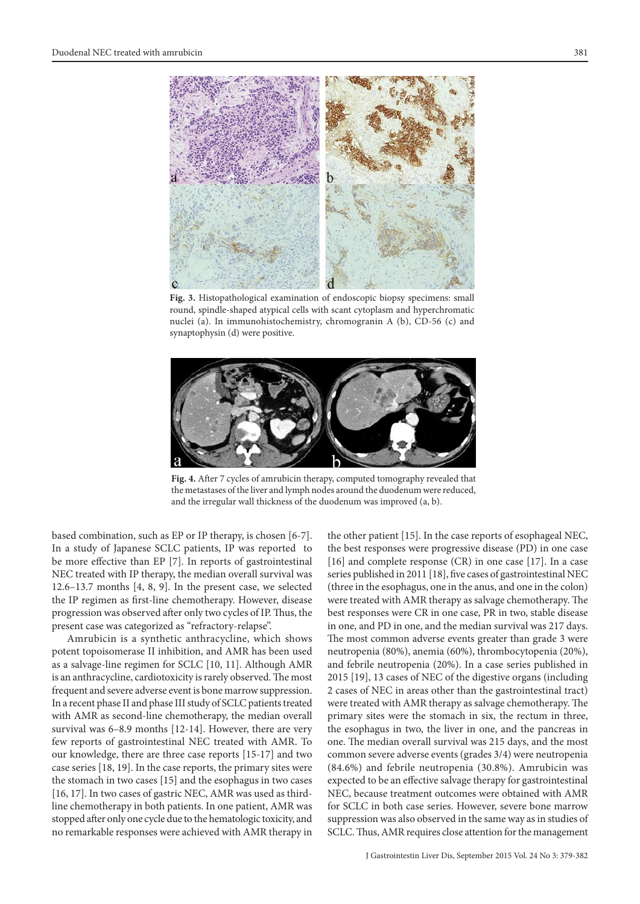

**Fig. 3.** Histopathological examination of endoscopic biopsy specimens: small round, spindle-shaped atypical cells with scant cytoplasm and hyperchromatic nuclei (a). In immunohistochemistry, chromogranin A (b), CD-56 (c) and synaptophysin (d) were positive.



**Fig. 4.** After 7 cycles of amrubicin therapy, computed tomography revealed that the metastases of the liver and lymph nodes around the duodenum were reduced, and the irregular wall thickness of the duodenum was improved (a, b).

based combination, such as EP or IP therapy, is chosen [6-7]. In a study of Japanese SCLC patients, IP was reported to be more effective than EP [7]. In reports of gastrointestinal NEC treated with IP therapy, the median overall survival was 12.6–13.7 months [4, 8, 9]. In the present case, we selected the IP regimen as first-line chemotherapy. However, disease progression was observed after only two cycles of IP. Thus, the present case was categorized as "refractory-relapse".

Amrubicin is a synthetic anthracycline, which shows potent topoisomerase II inhibition, and AMR has been used as a salvage-line regimen for SCLC [10, 11]. Although AMR is an anthracycline, cardiotoxicity is rarely observed. The most frequent and severe adverse event is bone marrow suppression. In a recent phase II and phase III study of SCLC patients treated with AMR as second-line chemotherapy, the median overall survival was 6–8.9 months [12-14]. However, there are very few reports of gastrointestinal NEC treated with AMR. To our knowledge, there are three case reports [15-17] and two case series [18, 19]. In the case reports, the primary sites were the stomach in two cases [15] and the esophagus in two cases [16, 17]. In two cases of gastric NEC, AMR was used as thirdline chemotherapy in both patients. In one patient, AMR was stopped after only one cycle due to the hematologic toxicity, and no remarkable responses were achieved with AMR therapy in

the other patient [15]. In the case reports of esophageal NEC, the best responses were progressive disease (PD) in one case [16] and complete response (CR) in one case [17]. In a case series published in 2011 [18], five cases of gastrointestinal NEC (three in the esophagus, one in the anus, and one in the colon) were treated with AMR therapy as salvage chemotherapy. The best responses were CR in one case, PR in two, stable disease in one, and PD in one, and the median survival was 217 days. The most common adverse events greater than grade 3 were neutropenia (80%), anemia (60%), thrombocytopenia (20%), and febrile neutropenia (20%). In a case series published in 2015 [19], 13 cases of NEC of the digestive organs (including 2 cases of NEC in areas other than the gastrointestinal tract) were treated with AMR therapy as salvage chemotherapy. The primary sites were the stomach in six, the rectum in three, the esophagus in two, the liver in one, and the pancreas in one. The median overall survival was 215 days, and the most common severe adverse events (grades 3/4) were neutropenia (84.6%) and febrile neutropenia (30.8%). Amrubicin was expected to be an effective salvage therapy for gastrointestinal NEC, because treatment outcomes were obtained with AMR for SCLC in both case series. However, severe bone marrow suppression was also observed in the same way as in studies of SCLC. Thus, AMR requires close attention for the management